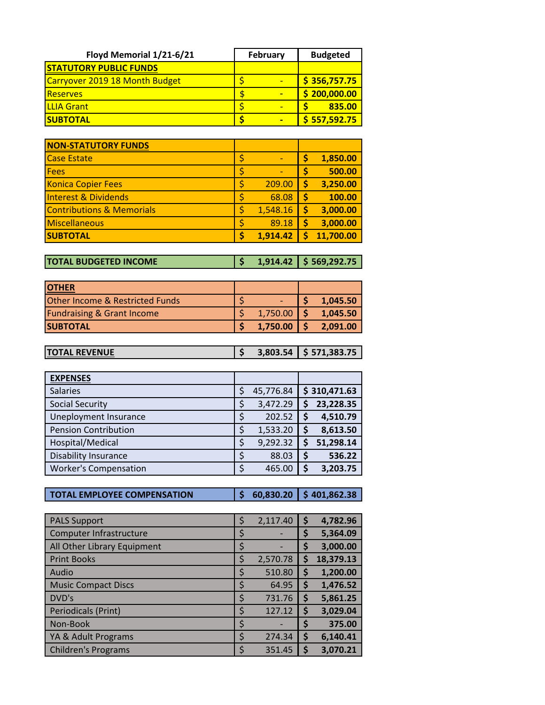| Floyd Memorial 1/21-6/21       | February | <b>Budgeted</b>          |
|--------------------------------|----------|--------------------------|
| <b>STATUTORY PUBLIC FUNDS</b>  |          |                          |
| Carryover 2019 18 Month Budget |          | $\frac{1}{5}$ 356,757.75 |
| <b>Reserves</b>                |          | \$200,000.00             |
| <b>ILLIA Grant</b>             |          | 835.00                   |
| <b>SUBTOTAL</b>                |          | \$557,592.75             |

| <b>NON-STATUTORY FUNDS</b>           |                |    |           |
|--------------------------------------|----------------|----|-----------|
| <b>Case Estate</b>                   | \$             | \$ | 1,850.00  |
| Fees                                 | \$             | \$ | 500.00    |
| <b>Konica Copier Fees</b>            | \$<br>209.00   | \$ | 3,250.00  |
| <b>Interest &amp; Dividends</b>      | \$<br>68.08    | S  | 100.00    |
| <b>Contributions &amp; Memorials</b> | \$<br>1,548.16 | \$ | 3,000.00  |
| Miscellaneous                        | \$<br>89.18    | \$ | 3,000.00  |
| <b>SUBTOTAL</b>                      | \$<br>1,914.42 |    | 11,700.00 |

**TOTAL BUDGETED INCOME \$ 1,914.42 \$ 569,292.75**

| <b>IOTHER</b>                              |          |          |
|--------------------------------------------|----------|----------|
| <b>Other Income &amp; Restricted Funds</b> |          | 1,045.50 |
| <b>Fundraising &amp; Grant Income</b>      | 1,750.00 | 1,045.50 |
| <b>SUBTOTAL</b>                            | 1,750.00 | 2,091.00 |

| <b>ITOTAL REVENUE</b> |  | $3,803.54$ $\lessgtr$ 571,383.75 |
|-----------------------|--|----------------------------------|
|                       |  |                                  |

| <b>EXPENSES</b>              |    |           |    |              |
|------------------------------|----|-----------|----|--------------|
| <b>Salaries</b>              | \$ | 45,776.84 |    | \$310,471.63 |
| <b>Social Security</b>       | \$ | 3,472.29  | S  | 23,228.35    |
| Uneployment Insurance        | Ş  | 202.52    |    | 4,510.79     |
| <b>Pension Contribution</b>  | \$ | 1,533.20  | \$ | 8,613.50     |
| Hospital/Medical             | \$ | 9,292.32  |    | 51,298.14    |
| <b>Disability Insurance</b>  | Ś  | 88.03     | \$ | 536.22       |
| <b>Worker's Compensation</b> | \$ | 465.00    | \$ | 3,203.75     |

**TOTAL EMPLOYEE COMPENSATION \$ 60,830.20 \$ 401,862.38**

| <b>PALS Support</b>         | \$ | 2,117.40 | \$ | 4,782.96  |
|-----------------------------|----|----------|----|-----------|
| Computer Infrastructure     | Ş  |          | \$ | 5,364.09  |
| All Other Library Equipment | \$ |          | Ş  | 3,000.00  |
| <b>Print Books</b>          | \$ | 2,570.78 | \$ | 18,379.13 |
| Audio                       | \$ | 510.80   | \$ | 1,200.00  |
| <b>Music Compact Discs</b>  | \$ | 64.95    | Ş  | 1,476.52  |
| DVD's                       | \$ | 731.76   | \$ | 5,861.25  |
| Periodicals (Print)         | Ś  | 127.12   | \$ | 3,029.04  |
| Non-Book                    | \$ |          | Ş  | 375.00    |
| YA & Adult Programs         | \$ | 274.34   | \$ | 6,140.41  |
| <b>Children's Programs</b>  |    | 351.45   | S  | 3,070.21  |